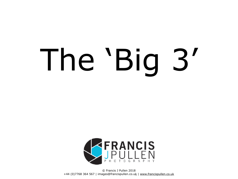# The 'Big 3'



© Francis J Pullen 2018 +44 (0)7768 364 567 | [images@francispullen.co.uk](mailto:images@francispullen.co.uk) | [www.francispullen.co.uk](http://www.francispullen.co.uk)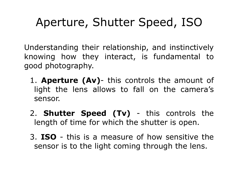### Aperture, Shutter Speed, ISO

Understanding their relationship, and instinctively knowing how they interact, is fundamental to good photography.

- 1. **Aperture (Av)** this controls the amount of light the lens allows to fall on the camera's sensor.
- 2. **Shutter Speed (Tv)** this controls the length of time for which the shutter is open.
- 3. **ISO** this is a measure of how sensitive the sensor is to the light coming through the lens.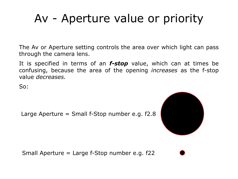#### Av - Aperture value or priority

The Av or Aperture setting controls the area over which light can pass through the camera lens.

It is specified in terms of an *f-stop* value, which can at times be confusing, because the area of the opening *increases* as the f-stop value *decreases.* 

So:

Large Aperture = Small f-Stop number e.g. f2.8



Small Aperture = Large f-Stop number e.g. f22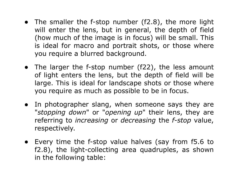- The smaller the f-stop number (f2.8), the more light will enter the lens, but in general, the depth of field (how much of the image is in focus) will be small. This is ideal for macro and portrait shots, or those where you require a blurred background.
- The larger the f-stop number (f22), the less amount of light enters the lens, but the depth of field will be large. This is ideal for landscape shots or those where you require as much as possible to be in focus.
- In photographer slang, when someone says they are "*stopping down*" or "*opening up*" their lens, they are referring to *increasing* or *decreasing* the *f-stop* value, respectively.
- Every time the f-stop value halves (say from f5.6 to f2.8), the light-collecting area quadruples, as shown in the following table: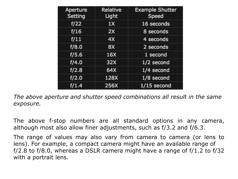| <b>Aperture</b><br><b>Setting</b> | <b>Relative</b><br>Light | <b>Example Shutter</b><br><b>Speed</b> |
|-----------------------------------|--------------------------|----------------------------------------|
| f/22                              | 1X                       | 16 seconds                             |
| f/16                              | 2X                       | 8 seconds                              |
| f/11                              | 4X                       | 4 seconds                              |
| f/8.0                             | 8X                       | 2 seconds                              |
| f/5.6                             | 16X                      | 1 second                               |
| f/4.0                             | 32X                      | 1/2 second                             |
| f/2.8                             | 64X                      | 1/4 second                             |
| f/2.0                             | 128X                     | $1/8$ second                           |
| f/1.4                             | <b>256X</b>              | $1/15$ second                          |

*The above aperture and shutter speed combinations all result in the same exposure.*

The above f-stop numbers are all standard options in any camera, although most also allow finer adjustments, such as f/3.2 and f/6.3.

The range of values may also vary from camera to camera (or lens to lens). For example, a compact camera might have an available range of f/2.8 to f/8.0, whereas a DSLR camera might have a range of  $f/1.2$  to  $f/32$ with a portrait lens.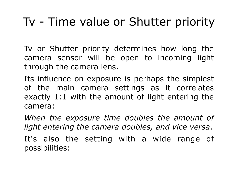#### Tv - Time value or Shutter priority

Tv or Shutter priority determines how long the camera sensor will be open to incoming light through the camera lens.

Its influence on exposure is perhaps the simplest of the main camera settings as it correlates exactly 1:1 with the amount of light entering the camera:

*When the exposure time doubles the amount of light entering the camera doubles, and vice versa*.

It's also the setting with a wide range of possibilities: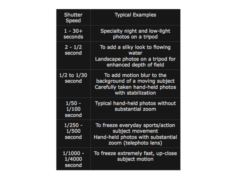| <b>Shutter</b><br><b>Speed</b> | <b>Typical Examples</b>                                                                                               |
|--------------------------------|-----------------------------------------------------------------------------------------------------------------------|
| $1 - 30 +$<br>seconds          | Specialty night and low-light<br>photos on a tripod                                                                   |
| $2 - 1/2$<br>second            | To add a silky look to flowing<br>water<br>Landscape photos on a tripod for<br>enhanced depth of field                |
| $1/2$ to $1/30$<br>second      | To add motion blur to the<br>background of a moving subject<br>Carefully taken hand-held photos<br>with stabilization |
| 1/50 -<br>second               | Typical hand-held photos without<br>substantial zoom                                                                  |
| $1/250 -$<br>1/500<br>second   | To freeze everyday sports/action<br>subject movement<br>Hand-held photos with substantial<br>zoom (telephoto lens)    |
| 1/1000 -<br>1/4000<br>second   | To freeze extremely fast, up-close<br>subject motion                                                                  |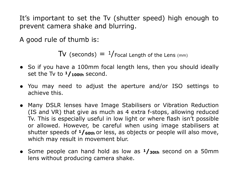It's important to set the Tv (shutter speed) high enough to prevent camera shake and blurring.

A good rule of thumb is:

 $TV$  (seconds)  $=$  1/Focal Length of the Lens (mm)

- So if you have a 100mm focal length lens, then you should ideally set the Tv to  $1/100$ th second.
- You may need to adjust the aperture and/or ISO settings to achieve this.
- Many DSLR lenses have Image Stabilisers or Vibration Reduction (IS and VR) that give as much as 4 extra f-stops, allowing reduced Tv. This is especially useful in low light or where flash isn't possible or allowed. However, be careful when using image stabilisers at shutter speeds of **1/60th** or less, as objects or people will also move, which may result in movement blur.
- Some people can hand hold as low as **1/30th** second on a 50mm lens without producing camera shake.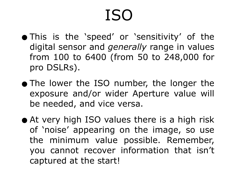## ISO

- •This is the 'speed' or 'sensitivity' of the digital sensor and *generally* range in values from 100 to 6400 (from 50 to 248,000 for pro DSLRs).
- The lower the ISO number, the longer the exposure and/or wider Aperture value will be needed, and vice versa.
- At very high ISO values there is a high risk of 'noise' appearing on the image, so use the minimum value possible. Remember, you cannot recover information that isn't captured at the start!